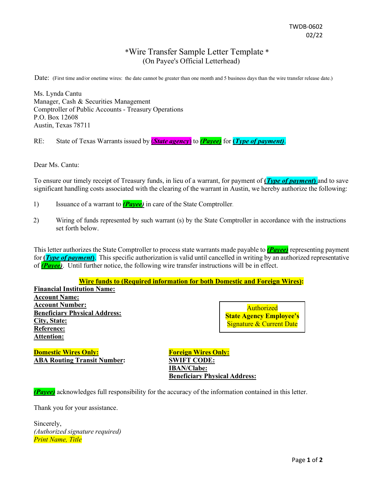## \*Wire Transfer Sample Letter Template \* (On Payee's Official Letterhead)

Date: (First time and/or onetime wires: the date cannot be greater than one month and 5 business days than the wire transfer release date.)

Ms. Lynda Cantu Manager, Cash & Securities Management Comptroller of Public Accounts - Treasury Operations P.O. Box 12608 Austin, Texas 78711

RE: State of Texas Warrants issued by (*State agency*) to *(Payee)* for **(***Type of payment)*.

Dear Ms. Cantu:

To ensure our timely receipt of Treasury funds, in lieu of a warrant, for payment of **(***Type of payment***)** and to save significant handling costs associated with the clearing of the warrant in Austin, we hereby authorize the following:

- 1) Issuance of a warrant to *(Payee)* in care of the State Comptroller.
- 2) Wiring of funds represented by such warrant (s) by the State Comptroller in accordance with the instructions set forth below.

This letter authorizes the State Comptroller to process state warrants made payable to *(Payee)* representing payment for **(***Type of payment***)**. This specific authorization is valid until cancelled in writing by an authorized representative of *(Payee)*. Until further notice, the following wire transfer instructions will be in effect.

## **Wire funds to (Required information for both Domestic and Foreign Wires):**

**Financial Institution Name: Account Name: Account Number: Beneficiary Physical Address: City, State: Reference: Attention:**

Authorized **State Agency Employee's** Signature & Current Date

**Domestic Wires Only: Foreign Wires Only: Foreign Wires Only: ABA Routing Transit Number: SWIFT CODE:**

**IBAN/Clabe: Beneficiary Physical Address:**

*(Payee)* acknowledges full responsibility for the accuracy of the information contained in this letter.

Thank you for your assistance.

Sincerely, *(Authorized signature required) Print Name, Title*